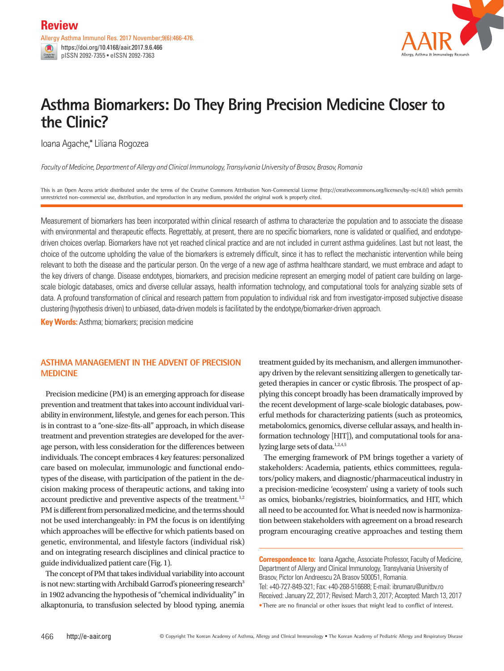

# **Asthma Biomarkers: Do They Bring Precision Medicine Closer to the Clinic?**

Ioana Agache,\* Liliana Rogozea

*Faculty of Medicine, Department of Allergy and Clinical Immunology, Transylvania University of Brasov, Brasov, Romania*

This is an Open Access article distributed under the terms of the Creative Commons Attribution Non-Commercial License (http://creativecommons.org/licenses/by-nc/4.0/) which permits unrestricted non-commercial use, distribution, and reproduction in any medium, provided the original work is properly cited.

Measurement of biomarkers has been incorporated within clinical research of asthma to characterize the population and to associate the disease with environmental and therapeutic effects. Regrettably, at present, there are no specific biomarkers, none is validated or qualified, and endotypedriven choices overlap. Biomarkers have not yet reached clinical practice and are not included in current asthma guidelines. Last but not least, the choice of the outcome upholding the value of the biomarkers is extremely difficult, since it has to reflect the mechanistic intervention while being relevant to both the disease and the particular person. On the verge of a new age of asthma healthcare standard, we must embrace and adapt to the key drivers of change. Disease endotypes, biomarkers, and precision medicine represent an emerging model of patient care building on largescale biologic databases, omics and diverse cellular assays, health information technology, and computational tools for analyzing sizable sets of data. A profound transformation of clinical and research pattern from population to individual risk and from investigator-imposed subjective disease clustering (hypothesis driven) to unbiased, data-driven models is facilitated by the endotype/biomarker-driven approach.

**Key Words:** Asthma; biomarkers; precision medicine

# **ASTHMA MANAGEMENT IN THE ADVENT OF PRECISION MEDICINE**

Precision medicine (PM) is an emerging approach for disease prevention and treatment that takes into account individual variability in environment, lifestyle, and genes for each person. This is in contrast to a "one-size-fits-all" approach, in which disease treatment and prevention strategies are developed for the average person, with less consideration for the differences between individuals. The concept embraces 4 key features: personalized care based on molecular, immunologic and functional endotypes of the disease, with participation of the patient in the decision making process of therapeutic actions, and taking into account predictive and preventive aspects of the treatment.<sup>1,2</sup> PM is different from personalized medicine, and the terms should not be used interchangeably: in PM the focus is on identifying which approaches will be effective for which patients based on genetic, environmental, and lifestyle factors (individual risk) and on integrating research disciplines and clinical practice to guide individualized patient care (Fig. 1).

The concept of PM that takes individual variability into account is not new: starting with Archibald Garrod's pioneering research<sup>3</sup> in 1902 advancing the hypothesis of "chemical individuality" in alkaptonuria, to transfusion selected by blood typing, anemia

treatment guided by its mechanism, and allergen immunotherapy driven by the relevant sensitizing allergen to genetically targeted therapies in cancer or cystic fibrosis. The prospect of applying this concept broadly has been dramatically improved by the recent development of large-scale biologic databases, powerful methods for characterizing patients (such as proteomics, metabolomics, genomics, diverse cellular assays, and health information technology [HIT]), and computational tools for analyzing large sets of data.<sup>1,2,4,5</sup>

The emerging framework of PM brings together a variety of stakeholders: Academia, patients, ethics committees, regulators/policy makers, and diagnostic/pharmaceutical industry in a precision-medicine 'ecosystem' using a variety of tools such as omics, biobanks/registries, bioinformatics, and HIT, which all need to be accounted for. What is needed now is harmonization between stakeholders with agreement on a broad research program encouraging creative approaches and testing them

**Correspondence to:** Ioana Agache, Associate Professor, Faculty of Medicine, Department of Allergy and Clinical Immunology, Transylvania University of Brasov, Pictor Ion Andreescu 2A Brasov 500051, Romania. Tel: +40-727-849-321; Fax: +40-268-516688; E-mail: ibrumaru@unitbv.ro Received: January 22, 2017; Revised: March 3, 2017; Accepted: March 13, 2017 •There are no financial or other issues that might lead to conflict of interest.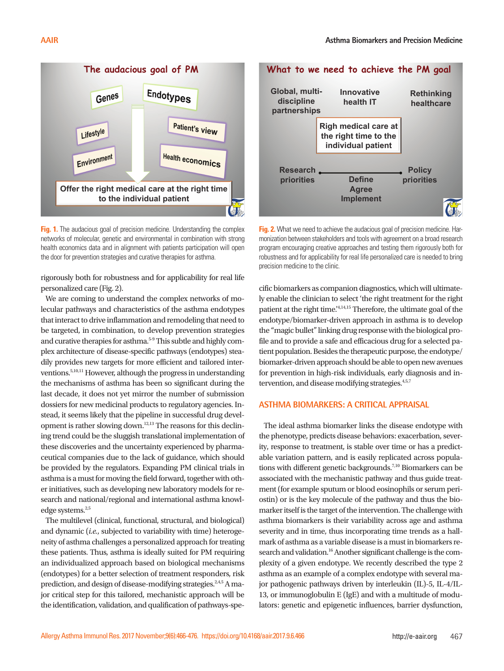#### **AAIR**



**Fig. 1.** The audacious goal of precision medicine. Understanding the complex networks of molecular, genetic and environmental in combination with strong health economics data and in alignment with patients participation will open the door for prevention strategies and curative therapies for asthma.

rigorously both for robustness and for applicability for real life personalized care (Fig. 2).

We are coming to understand the complex networks of molecular pathways and characteristics of the asthma endotypes that interact to drive inflammation and remodeling that need to be targeted, in combination, to develop prevention strategies and curative therapies for asthma.5-9 This subtle and highly complex architecture of disease-specific pathways (endotypes) steadily provides new targets for more efficient and tailored interventions.5,10,11 However, although the progress in understanding the mechanisms of asthma has been so significant during the last decade, it does not yet mirror the number of submission dossiers for new medicinal products to regulatory agencies. Instead, it seems likely that the pipeline in successful drug development is rather slowing down. $12,13$  The reasons for this declining trend could be the sluggish translational implementation of these discoveries and the uncertainty experienced by pharmaceutical companies due to the lack of guidance, which should be provided by the regulators. Expanding PM clinical trials in asthma is a must for moving the field forward, together with other initiatives, such as developing new laboratory models for research and national/regional and international asthma knowledge systems.<sup>2,5</sup>

The multilevel (clinical, functional, structural, and biological) and dynamic (*i.e.*, subjected to variability with time) heterogeneity of asthma challenges a personalized approach for treating these patients. Thus, asthma is ideally suited for PM requiring an individualized approach based on biological mechanisms (endotypes) for a better selection of treatment responders, risk prediction, and design of disease-modifying strategies.<sup>2,4,5</sup> A major critical step for this tailored, mechanistic approach will be the identification, validation, and qualification of pathways-spe-



**Fig. 2.** What we need to achieve the audacious goal of precision medicine. Harmonization between stakeholders and tools with agreement on a broad research program encouraging creative approaches and testing them rigorously both for robustness and for applicability for real life personalized care is needed to bring precision medicine to the clinic.

cific biomarkers as companion diagnostics, which will ultimately enable the clinician to select 'the right treatment for the right patient at the right time.'4,14,15 Therefore, the ultimate goal of the endotype/biomarker-driven approach in asthma is to develop the "magic bullet" linking drug response with the biological profile and to provide a safe and efficacious drug for a selected patient population. Besides the therapeutic purpose, the endotype/ biomarker-driven approach should be able to open new avenues for prevention in high-risk individuals, early diagnosis and intervention, and disease modifying strategies.<sup>4,5,7</sup>

## **ASTHMA BIOMARKERS: A CRITICAL APPRAISAL**

The ideal asthma biomarker links the disease endotype with the phenotype, predicts disease behaviors: exacerbation, severity, response to treatment, is stable over time or has a predictable variation pattern, and is easily replicated across populations with different genetic backgrounds.7,10 Biomarkers can be associated with the mechanistic pathway and thus guide treatment (for example sputum or blood eosinophils or serum periostin) or is the key molecule of the pathway and thus the biomarker itself is the target of the intervention. The challenge with asthma biomarkers is their variability across age and asthma severity and in time, thus incorporating time trends as a hallmark of asthma as a variable disease is a must in biomarkers research and validation.<sup>16</sup> Another significant challenge is the complexity of a given endotype. We recently described the type 2 asthma as an example of a complex endotype with several major pathogenic pathways driven by interleukin (IL)-5, IL-4/IL-13, or immunoglobulin E (IgE) and with a multitude of modulators: genetic and epigenetic influences, barrier dysfunction,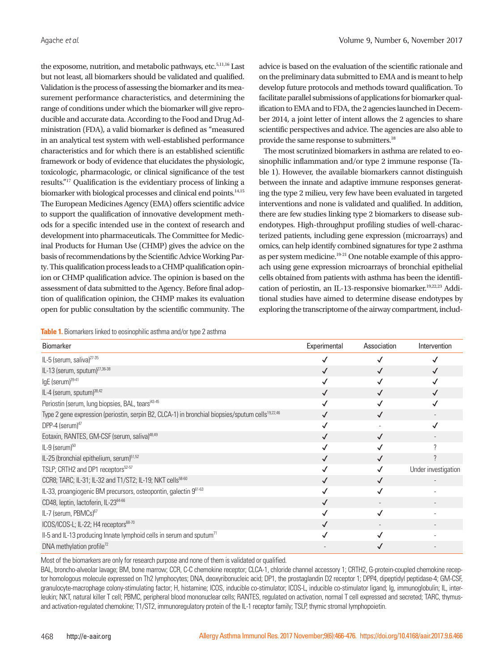the exposome, nutrition, and metabolic pathways, etc.<sup>5,11,16</sup> Last but not least, all biomarkers should be validated and qualified. Validation is the process of assessing the biomarker and its measurement performance characteristics, and determining the range of conditions under which the biomarker will give reproducible and accurate data. According to the Food and Drug Administration (FDA), a valid biomarker is defined as "measured in an analytical test system with well-established performance characteristics and for which there is an established scientific framework or body of evidence that elucidates the physiologic, toxicologic, pharmacologic, or clinical significance of the test results."17 Qualification is the evidentiary process of linking a biomarker with biological processes and clinical end points.<sup>14,15</sup> The European Medicines Agency (EMA) offers scientific advice to support the qualification of innovative development methods for a specific intended use in the context of research and development into pharmaceuticals. The Committee for Medicinal Products for Human Use (CHMP) gives the advice on the basis of recommendations by the Scientific Advice Working Party. This qualification process leads to a CHMP qualification opinion or CHMP qualification advice. The opinion is based on the assessment of data submitted to the Agency. Before final adoption of qualification opinion, the CHMP makes its evaluation open for public consultation by the scientific community. The

advice is based on the evaluation of the scientific rationale and on the preliminary data submitted to EMA and is meant to help develop future protocols and methods toward qualification. To facilitate parallel submissions of applications for biomarker qualification to EMA and to FDA, the 2 agencies launched in December 2014, a joint letter of intent allows the 2 agencies to share scientific perspectives and advice. The agencies are also able to provide the same response to submitters.18

The most scrutinized biomarkers in asthma are related to eosinophilic inflammation and/or type 2 immune response (Table 1). However, the available biomarkers cannot distinguish between the innate and adaptive immune responses generating the type 2 milieu, very few have been evaluated in targeted interventions and none is validated and qualified. In addition, there are few studies linking type 2 biomarkers to disease subendotypes. High-throughput profiling studies of well-characterized patients, including gene expression (microarrays) and omics, can help identify combined signatures for type 2 asthma as per system medicine.<sup>19-21</sup> One notable example of this approach using gene expression microarrays of bronchial epithelial cells obtained from patients with asthma has been the identification of periostin, an IL-13-responsive biomarker.<sup>19,22,23</sup> Additional studies have aimed to determine disease endotypes by exploring the transcriptome of the airway compartment, includ-

| <b>Biomarker</b>                                                                                             | Experimental | Association  | Intervention        |
|--------------------------------------------------------------------------------------------------------------|--------------|--------------|---------------------|
| IL-5 (serum, saliva) <sup>27-35</sup>                                                                        |              |              |                     |
| IL-13 (serum, sputum) <sup>27,36-38</sup>                                                                    |              |              |                     |
| IgE (serum) <sup>39-41</sup>                                                                                 |              |              |                     |
| IL-4 (serum, sputum) <sup>38,42</sup>                                                                        | ✓            | ✓            |                     |
| Periostin (serum, lung biopsies, BAL, tears <sup>143-45</sup>                                                |              |              |                     |
| Type 2 gene expression (periostin, serpin B2, CLCA-1) in bronchial biopsies/sputum cells <sup>19,22,46</sup> | ✓            |              |                     |
| DPP-4 (serum) $47$                                                                                           | ✓            |              |                     |
| Eotaxin, RANTES, GM-CSF (serum, saliva) <sup>48,49</sup>                                                     | $\checkmark$ | ✓            |                     |
| $IL-9$ (serum) $50$                                                                                          | ✓            |              | 2                   |
| IL-25 (bronchial epithelium, serum) <sup>51,52</sup>                                                         | $\checkmark$ | √            | $\boldsymbol{\eta}$ |
| TSLP; CRTH2 and DP1 receptors <sup>52-57</sup>                                                               | ✓            |              | Under investigation |
| CCR8; TARC; IL-31; IL-32 and T1/ST2; IL-19; NKT cells <sup>58-60</sup>                                       | ✓            | $\checkmark$ |                     |
| IL-33, proangiogenic BM precursors, osteopontin, galectin 961-63                                             |              |              |                     |
| CD48, leptin, lactoferin, IL-23 <sup>64-66</sup>                                                             | √            |              |                     |
| IL-7 (serum, PBMCs) <sup>67</sup>                                                                            |              |              |                     |
| ICOS/ICOS-L; IL-22; H4 receptors <sup>68-70</sup>                                                            | ✓            |              |                     |
| II-5 and IL-13 producing Innate lymphoid cells in serum and sputum <sup>71</sup>                             |              |              |                     |
| DNA methylation profile <sup>72</sup>                                                                        |              |              |                     |

Most of the biomarkers are only for research purpose and none of them is validated or qualified.

BAL, broncho-alveolar lavage; BM, bone marrow; CCR, C-C chemokine receptor; CLCA-1, chloride channel accessory 1; CRTH2, G-protein-coupled chemokine receptor homologous molecule expressed on Th2 lymphocytes; DNA, deoxyribonucleic acid; DP1, the prostaglandin D2 receptor 1; DPP4, dipeptidyl peptidase-4; GM-CSF, granulocyte-macrophage colony-stimulating factor; H, histamine; ICOS, inducible co-stimulator; ICOS-L, inducible co-stimulator ligand; Ig, immunoglobulin; IL, interleukin; NKT, natural killer T cell; PBMC, peripheral blood mononuclear cells; RANTES, regulated on activation, normal T cell expressed and secreted; TARC, thymusand activation-regulated chemokine; T1/ST2, immunoregulatory protein of the IL-1 receptor family; TSLP, thymic stromal lymphopoietin.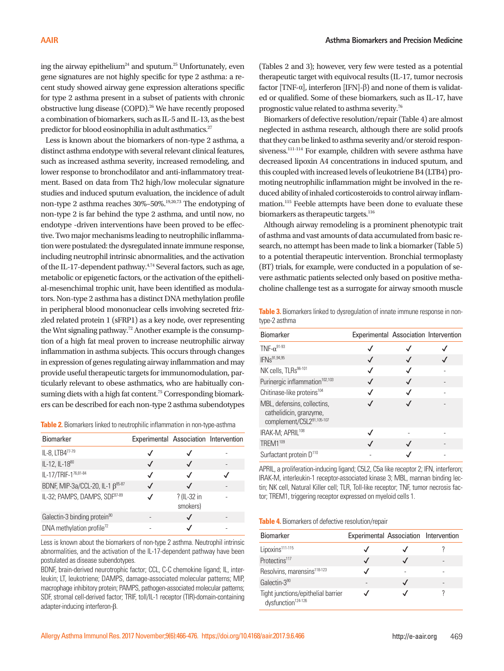ing the airway epithelium<sup>24</sup> and sputum.<sup>25</sup> Unfortunately, even gene signatures are not highly specific for type 2 asthma: a recent study showed airway gene expression alterations specific for type 2 asthma present in a subset of patients with chronic obstructive lung disease (COPD).26 We have recently proposed a combination of biomarkers, such as IL-5 and IL-13, as the best predictor for blood eosinophilia in adult asthmatics.<sup>27</sup>

Less is known about the biomarkers of non-type 2 asthma, a distinct asthma endotype with several relevant clinical features, such as increased asthma severity, increased remodeling, and lower response to bronchodilator and anti-inflammatory treatment. Based on data from Th2 high/low molecular signature studies and induced sputum evaluation, the incidence of adult non-type 2 asthma reaches 30%–50%.19,20,73 The endotyping of non-type 2 is far behind the type 2 asthma, and until now, no endotype -driven interventions have been proved to be effective. Two major mechanisms leading to neutrophilic inflammation were postulated: the dysregulated innate immune response, including neutrophil intrinsic abnormalities, and the activation of the IL-17-dependent pathway.4,74 Several factors, such as age, metabolic or epigenetic factors, or the activation of the epithelial-mesenchimal trophic unit, have been identified as modulators. Non-type 2 asthma has a distinct DNA methylation profile in peripheral blood mononuclear cells involving secreted frizzled related protein 1 (sFRP1) as a key node, over representing the Wnt signaling pathway.72 Another example is the consumption of a high fat meal proven to increase neutrophilic airway inflammation in asthma subjects. This occurs through changes in expression of genes regulating airway inflammation and may provide useful therapeutic targets for immunomodulation, particularly relevant to obese asthmatics, who are habitually consuming diets with a high fat content.<sup>75</sup> Corresponding biomarkers can be described for each non-type 2 asthma subendotypes

**Table 2.** Biomarkers linked to neutrophilic inflammation in non-type-asthma

| <b>Biomarker</b>                          | Experimental Association Intervention |                         |  |
|-------------------------------------------|---------------------------------------|-------------------------|--|
| IL-8, LTB477-79                           |                                       |                         |  |
| IL-12, IL-1880                            |                                       |                         |  |
| IL-17/TRIF-176,81-84                      | ✓                                     |                         |  |
| BDNF, MIP-3a/CCL-20, IL-1 $\beta^{85-87}$ |                                       |                         |  |
| IL-32; PAMPS, DAMPS, SDF87-89             |                                       | ? (IL-32 in<br>smokers) |  |
| Galectin-3 binding protein <sup>90</sup>  |                                       |                         |  |
| DNA methylation profile <sup>72</sup>     |                                       |                         |  |

Less is known about the biomarkers of non-type 2 asthma. Neutrophil intrinsic abnormalities, and the activation of the IL-17-dependent pathway have been postulated as disease subendotypes.

BDNF, brain-derived neurotrophic factor; CCL, C-C chemokine ligand; IL, interleukin; LT, leukotriene; DAMPS, damage-associated molecular patterns; MIP, macrophage inhibitory protein; PAMPS, pathogen-associated molecular patterns; SDF, stromal cell-derived factor; TRIF, toll/IL-1 receptor (TIR)-domain-containing adapter-inducing interferon-β.

(Tables 2 and 3); however, very few were tested as a potential therapeutic target with equivocal results (IL-17, tumor necrosis factor [TNF-α], interferon [IFN]-β) and none of them is validated or qualified. Some of these biomarkers, such as IL-17, have prognostic value related to asthma severity.76

Biomarkers of defective resolution/repair (Table 4) are almost neglected in asthma research, although there are solid proofs that they can be linked to asthma severity and/or steroid responsiveness.<sup>111-114</sup> For example, children with severe asthma have decreased lipoxin A4 concentrations in induced sputum, and this coupled with increased levels of leukotriene B4 (LTB4) promoting neutrophilic inflammation might be involved in the reduced ability of inhaled corticosteroids to control airway inflammation.115 Feeble attempts have been done to evaluate these biomarkers as the<br>rapeutic targets.  $\rm ^{116}$ 

Although airway remodeling is a prominent phenotypic trait of asthma and vast amounts of data accumulated from basic research, no attempt has been made to link a biomarker (Table 5) to a potential therapeutic intervention. Bronchial termoplasty (BT) trials, for example, were conducted in a population of severe asthmatic patients selected only based on positive methacholine challenge test as a surrogate for airway smooth muscle

**Table 3.** Biomarkers linked to dysregulation of innate immune response in nontype-2 asthma

| <b>Biomarker</b>                                                                    | Experimental Association Intervention |  |
|-------------------------------------------------------------------------------------|---------------------------------------|--|
| $TNF-\alpha^{91-93}$                                                                |                                       |  |
| IFNs91,94,95                                                                        | √                                     |  |
| NK cells, TLRs96-101                                                                |                                       |  |
| Purinergic inflammation <sup>102,103</sup>                                          |                                       |  |
| Chitinase-like proteins <sup>104</sup>                                              |                                       |  |
| MBL, defensins, collectins,<br>cathelidicin, granzyme,<br>complement/C5L291,105-107 |                                       |  |
| IRAK-M; APRIL <sup>108</sup>                                                        |                                       |  |
| TREM1109                                                                            |                                       |  |
| Surfactant protein D <sup>110</sup>                                                 |                                       |  |

APRIL, a proliferation-inducing ligand; C5L2, C5a like receptor 2; IFN, interferon; IRAK-M, interleukin-1 receptor-associated kinase 3; MBL, mannan binding lectin; NK cell, Natural Killer cell; TLR, Toll-like receptor; TNF, tumor necrosis factor; TREM1, triggering receptor expressed on myeloid cells 1.

#### **Table 4.** Biomarkers of defective resolution/repair

| <b>Biomarker</b>                                                     | Experimental Association Intervention |  |
|----------------------------------------------------------------------|---------------------------------------|--|
| Lipoxins <sup>111-115</sup>                                          |                                       |  |
| Protectins <sup>117</sup>                                            |                                       |  |
| Resolvins, marensins <sup>118-123</sup>                              |                                       |  |
| Galectin-3 <sup>90</sup>                                             |                                       |  |
| Tight junctions/epithelial barrier<br>dysfunction <sup>124-126</sup> |                                       |  |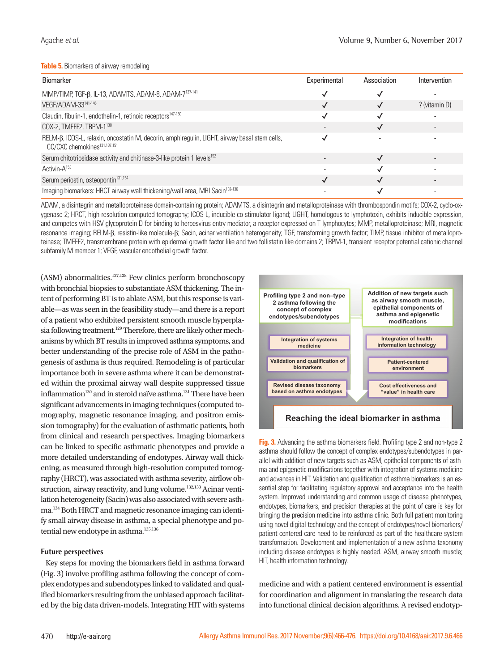#### **Table 5.** Biomarkers of airway remodeling

| <b>Biomarker</b>                                                                                                                          | Experimental | Association | Intervention  |
|-------------------------------------------------------------------------------------------------------------------------------------------|--------------|-------------|---------------|
| MMP/TIMP, TGF-B, IL-13, ADAMTS, ADAM-8, ADAM-7137-141                                                                                     |              |             |               |
| VEGF/ADAM-33141-146                                                                                                                       |              |             | ? (vitamin D) |
| Claudin, fibulin-1, endothelin-1, retinoid receptors <sup>147-150</sup>                                                                   |              |             |               |
| COX-2, TMEFF2, TRPM-1130                                                                                                                  |              |             |               |
| RELM-β, ICOS-L, relaxin, oncostatin M, decorin, amphiregulin, LIGHT, airway basal stem cells,<br>CC/CXC chemokines <sup>131,137,151</sup> |              |             |               |
| Serum chitotriosidase activity and chitinase-3-like protein 1 levels <sup>152</sup>                                                       |              |             |               |
| Activin-A <sup>153</sup>                                                                                                                  |              |             |               |
| Serum periostin, osteopontin <sup>131,154</sup>                                                                                           |              |             |               |
| Imaging biomarkers: HRCT airway wall thickening/wall area, MRI Sacin <sup>132-136</sup>                                                   |              |             |               |

ADAM, a disintegrin and metalloproteinase domain-containing protein; ADAMTS, a disintegrin and metalloproteinase with thrombospondin motifs; COX-2, cyclo-oxygenase-2; HRCT, high-resolution computed tomography; ICOS-L, inducible co-stimulator ligand; LIGHT, homologous to lymphotoxin, exhibits inducible expression, and competes with HSV glycoprotein D for binding to herpesvirus entry mediator, a receptor expressed on T lymphocytes; MMP, metalloproteinase; MRI, magnetic resonance imaging; RELM-β, resistin-like molecule-β; Sacin, acinar ventilation heterogeneity; TGF, transforming growth factor; TIMP, tissue inhibitor of metalloproteinase; TMEFF2, transmembrane protein with epidermal growth factor like and two follistatin like domains 2; TRPM-1, transient receptor potential cationic channel subfamily M member 1; VEGF, vascular endothelial growth factor.

(ASM) abnormalities.127,128 Few clinics perform bronchoscopy with bronchial biopsies to substantiate ASM thickening. The intent of performing BT is to ablate ASM, but this response is variable—as was seen in the feasibility study—and there is a report of a patient who exhibited persistent smooth muscle hyperplasia following treatment.<sup>129</sup> Therefore, there are likely other mechanisms by which BT results in improved asthma symptoms, and better understanding of the precise role of ASM in the pathogenesis of asthma is thus required. Remodeling is of particular importance both in severe asthma where it can be demonstrated within the proximal airway wall despite suppressed tissue inflammation<sup>130</sup> and in steroid naïve asthma.<sup>131</sup> There have been significant advancements in imaging techniques (computed tomography, magnetic resonance imaging, and positron emission tomography) for the evaluation of asthmatic patients, both from clinical and research perspectives. Imaging biomarkers can be linked to specific asthmatic phenotypes and provide a more detailed understanding of endotypes. Airway wall thickening, as measured through high-resolution computed tomography (HRCT), was associated with asthma severity, airflow obstruction, airway reactivity, and lung volume.<sup>132,133</sup> Acinar ventilation heterogeneity (Sacin) was also associated with severe asthma.134 Both HRCT and magnetic resonance imaging can identify small airway disease in asthma, a special phenotype and potential new endotype in asthma.<sup>135,136</sup>

### **Future perspectives**

Key steps for moving the biomarkers field in asthma forward (Fig. 3) involve profiling asthma following the concept of complex endotypes and subendotypes linked to validated and qualified biomarkers resulting from the unbiased approach facilitated by the big data driven-models. Integrating HIT with systems



**Fig. 3.** Advancing the asthma biomarkers field. Profiling type 2 and non-type 2 asthma should follow the concept of complex endotypes/subendotypes in parallel with addition of new targets such as ASM, epithelial components of asthma and epigenetic modifications together with integration of systems medicine and advances in HIT. Validation and qualification of asthma biomarkers is an essential step for facilitating regulatory approval and acceptance into the health system. Improved understanding and common usage of disease phenotypes, endotypes, biomarkers, and precision therapies at the point of care is key for bringing the precision medicine into asthma clinic. Both full patient monitoring using novel digital technology and the concept of endotypes/novel biomarkers/ patient centered care need to be reinforced as part of the healthcare system transformation. Development and implementation of a new asthma taxonomy including disease endotypes is highly needed. ASM, airway smooth muscle; HIT, health information technology.

medicine and with a patient centered environment is essential for coordination and alignment in translating the research data into functional clinical decision algorithms. A revised endotyp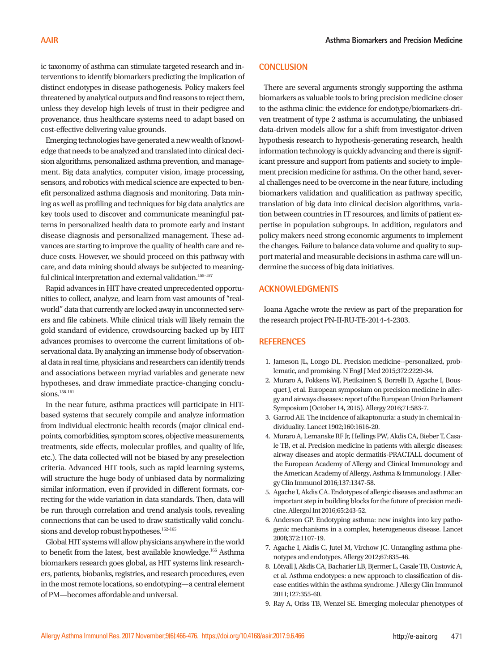ic taxonomy of asthma can stimulate targeted research and interventions to identify biomarkers predicting the implication of distinct endotypes in disease pathogenesis. Policy makers feel threatened by analytical outputs and find reasons to reject them, unless they develop high levels of trust in their pedigree and provenance, thus healthcare systems need to adapt based on cost-effective delivering value grounds.

Emerging technologies have generated a new wealth of knowledge that needs to be analyzed and translated into clinical decision algorithms, personalized asthma prevention, and management. Big data analytics, computer vision, image processing, sensors, and robotics with medical science are expected to benefit personalized asthma diagnosis and monitoring. Data mining as well as profiling and techniques for big data analytics are key tools used to discover and communicate meaningful patterns in personalized health data to promote early and instant disease diagnosis and personalized management. These advances are starting to improve the quality of health care and reduce costs. However, we should proceed on this pathway with care, and data mining should always be subjected to meaningful clinical interpretation and external validation.<sup>155-157</sup>

Rapid advances in HIT have created unprecedented opportunities to collect, analyze, and learn from vast amounts of "realworld" data that currently are locked away in unconnected servers and file cabinets. While clinical trials will likely remain the gold standard of evidence, crowdsourcing backed up by HIT advances promises to overcome the current limitations of observational data. By analyzing an immense body of observational data in real time, physicians and researchers can identify trends and associations between myriad variables and generate new hypotheses, and draw immediate practice-changing conclusions.<sup>158-161</sup>

In the near future, asthma practices will participate in HITbased systems that securely compile and analyze information from individual electronic health records (major clinical endpoints, comorbidities, symptom scores, objective measurements, treatments, side effects, molecular profiles, and quality of life, etc.). The data collected will not be biased by any preselection criteria. Advanced HIT tools, such as rapid learning systems, will structure the huge body of unbiased data by normalizing similar information, even if provided in different formats, correcting for the wide variation in data standards. Then, data will be run through correlation and trend analysis tools, revealing connections that can be used to draw statistically valid conclusions and develop robust hypotheses.<sup>162-165</sup>

Global HIT systems will allow physicians anywhere in the world to benefit from the latest, best available knowledge.<sup>166</sup> Asthma biomarkers research goes global, as HIT systems link researchers, patients, biobanks, registries, and research procedures, even in the most remote locations, so endotyping—a central element of PM—becomes affordable and universal.

#### **CONCLUSION**

There are several arguments strongly supporting the asthma biomarkers as valuable tools to bring precision medicine closer to the asthma clinic: the evidence for endotype/biomarkers-driven treatment of type 2 asthma is accumulating, the unbiased data-driven models allow for a shift from investigator-driven hypothesis research to hypothesis-generating research, health information technology is quickly advancing and there is significant pressure and support from patients and society to implement precision medicine for asthma. On the other hand, several challenges need to be overcome in the near future, including biomarkers validation and qualification as pathway specific, translation of big data into clinical decision algorithms, variation between countries in IT resources, and limits of patient expertise in population subgroups. In addition, regulators and policy makers need strong economic arguments to implement the changes. Failure to balance data volume and quality to support material and measurable decisions in asthma care will undermine the success of big data initiatives.

#### **ACKNOWLEDGMENTS**

Ioana Agache wrote the review as part of the preparation for the research project PN-II-RU-TE-2014-4-2303.

### **REFERENCES**

- 1. Jameson JL, Longo DL. Precision medicine--personalized, problematic, and promising. N Engl J Med 2015;372:2229-34.
- 2. Muraro A, Fokkens WJ, Pietikainen S, Borrelli D, Agache I, Bousquet J, et al. European symposium on precision medicine in allergy and airways diseases: report of the European Union Parliament Symposium (October 14, 2015). Allergy 2016;71:583-7.
- 3. Garrod AE. The incidence of alkaptonuria: a study in chemical individuality. Lancet 1902;160:1616-20.
- 4. Muraro A, Lemanske RF Jr, Hellings PW, Akdis CA, Bieber T, Casale TB, et al. Precision medicine in patients with allergic diseases: airway diseases and atopic dermatitis-PRACTALL document of the European Academy of Allergy and Clinical Immunology and the American Academy of Allergy, Asthma & Immunology. J Allergy Clin Immunol 2016;137:1347-58.
- 5. Agache I, Akdis CA. Endotypes of allergic diseases and asthma: an important step in building blocks for the future of precision medicine. Allergol Int 2016;65:243-52.
- 6. Anderson GP. Endotyping asthma: new insights into key pathogenic mechanisms in a complex, heterogeneous disease. Lancet 2008;372:1107-19.
- 7. Agache I, Akdis C, Jutel M, Virchow JC. Untangling asthma phenotypes and endotypes. Allergy 2012;67:835-46.
- 8. Lötvall J, Akdis CA, Bacharier LB, Bjermer L, Casale TB, Custovic A, et al. Asthma endotypes: a new approach to classification of disease entities within the asthma syndrome. J Allergy Clin Immunol 2011;127:355-60.
- 9. Ray A, Oriss TB, Wenzel SE. Emerging molecular phenotypes of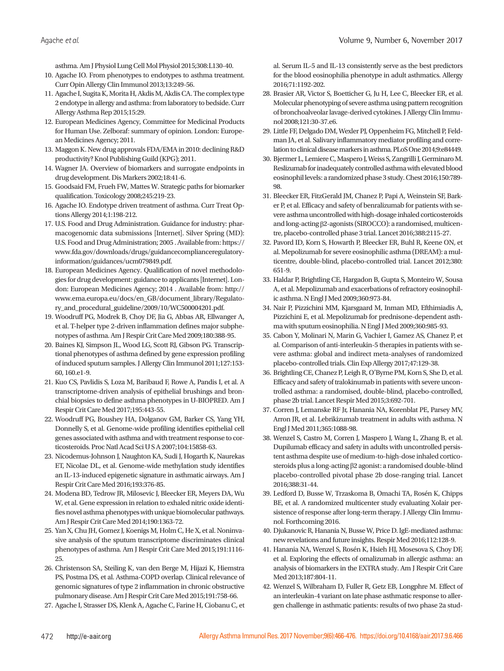asthma. Am J Physiol Lung Cell Mol Physiol 2015;308:L130-40.

- 10. Agache IO. From phenotypes to endotypes to asthma treatment. Curr Opin Allergy Clin Immunol 2013;13:249-56.
- 11. Agache I, Sugita K, Morita H, Akdis M, Akdis CA. The complex type 2 endotype in allergy and asthma: from laboratory to bedside. Curr Allergy Asthma Rep 2015;15:29.
- 12. European Medicines Agency, Committee for Medicinal Products for Human Use. Zelboraf: summary of opinion. London: European Medicines Agency; 2011.
- 13. Maggon K. New drug approvals FDA/EMA in 2010: declining R&D productivity? Knol Publishing Guild (KPG); 2011.
- 14. Wagner JA. Overview of biomarkers and surrogate endpoints in drug development. Dis Markers 2002;18:41-6.
- 15. Goodsaid FM, Frueh FW, Mattes W. Strategic paths for biomarker qualification. Toxicology 2008;245:219-23.
- 16. Agache IO. Endotype driven treatment of asthma. Curr Treat Options Allergy 2014;1:198-212.
- 17. U.S. Food and Drug Administration. Guidance for industry: pharmacogenomic data submissions [Internet]. Silver Spring (MD): U.S. Food and Drug Administration; 2005 . Available from: https:// www.fda.gov/downloads/drugs/guidancecomplianceregulatoryinformation/guidances/ucm079849.pdf.
- 18. European Medicines Agency. Qualification of novel methodologies for drug development: guidance to applicants [Internet]. London: European Medicines Agency; 2014 . Available from: http:// www.ema.europa.eu/docs/en\_GB/document\_library/Regulatory\_and\_procedural\_guideline/2009/10/WC500004201.pdf.
- 19. Woodruff PG, Modrek B, Choy DF, Jia G, Abbas AR, Ellwanger A, et al. T-helper type 2-driven inflammation defines major subphenotypes of asthma. Am J Respir Crit Care Med 2009;180:388-95.
- 20. Baines KJ, Simpson JL, Wood LG, Scott RJ, Gibson PG. Transcriptional phenotypes of asthma defined by gene expression profiling of induced sputum samples. J Allergy Clin Immunol 2011;127:153- 60, 160.e1-9.
- 21. Kuo CS, Pavlidis S, Loza M, Baribaud F, Rowe A, Pandis I, et al. A transcriptome-driven analysis of epithelial brushings and bronchial biopsies to define asthma phenotypes in U-BIOPRED. Am J Respir Crit Care Med 2017;195:443-55.
- 22. Woodruff PG, Boushey HA, Dolganov GM, Barker CS, Yang YH, Donnelly S, et al. Genome-wide profiling identifies epithelial cell genes associated with asthma and with treatment response to corticosteroids. Proc Natl Acad Sci U S A 2007;104:15858-63.
- 23. Nicodemus-Johnson J, Naughton KA, Sudi J, Hogarth K, Naurekas ET, Nicolae DL, et al. Genome-wide methylation study identifies an IL-13-induced epigenetic signature in asthmatic airways. Am J Respir Crit Care Med 2016;193:376-85.
- 24. Modena BD, Tedrow JR, Milosevic J, Bleecker ER, Meyers DA, Wu W, et al. Gene expression in relation to exhaled nitric oxide identifies novel asthma phenotypes with unique biomolecular pathways. Am J Respir Crit Care Med 2014;190:1363-72.
- 25. Yan X, Chu JH, Gomez J, Koenigs M, Holm C, He X, et al. Noninvasive analysis of the sputum transcriptome discriminates clinical phenotypes of asthma. Am J Respir Crit Care Med 2015;191:1116- 25.
- 26. Christenson SA, Steiling K, van den Berge M, Hijazi K, Hiemstra PS, Postma DS, et al. Asthma-COPD overlap. Clinical relevance of genomic signatures of type 2 inflammation in chronic obstructive pulmonary disease. Am J Respir Crit Care Med 2015;191:758-66.
- 27. Agache I, Strasser DS, Klenk A, Agache C, Farine H, Ciobanu C, et

al. Serum IL-5 and IL-13 consistently serve as the best predictors for the blood eosinophilia phenotype in adult asthmatics. Allergy 2016;71:1192-202.

- 28. Brasier AR, Victor S, Boetticher G, Ju H, Lee C, Bleecker ER, et al. Molecular phenotyping of severe asthma using pattern recognition of bronchoalveolar lavage-derived cytokines. J Allergy Clin Immunol 2008;121:30-37.e6.
- 29. Little FF, Delgado DM, Wexler PJ, Oppenheim FG, Mitchell P, Feldman JA, et al. Salivary inflammatory mediator profiling and correlation to clinical disease markers in asthma. PLoS One 2014;9:e84449.
- 30. Bjermer L, Lemiere C, Maspero J, Weiss S, Zangrilli J, Germinaro M. Reslizumab for inadequately controlled asthma with elevated blood eosinophil levels: a randomized phase 3 study. Chest 2016;150:789- 98
- 31. Bleecker ER, FitzGerald JM, Chanez P, Papi A, Weinstein SF, Barker P, et al. Efficacy and safety of benralizumab for patients with severe asthma uncontrolled with high-dosage inhaled corticosteroids and long-acting β2-agonists (SIROCCO): a randomised, multicentre, placebo-controlled phase 3 trial. Lancet 2016;388:2115-27.
- 32. Pavord ID, Korn S, Howarth P, Bleecker ER, Buhl R, Keene ON, et al. Mepolizumab for severe eosinophilic asthma (DREAM): a multicentre, double-blind, placebo-controlled trial. Lancet 2012;380: 651-9.
- 33. Haldar P, Brightling CE, Hargadon B, Gupta S, Monteiro W, Sousa A, et al. Mepolizumab and exacerbations of refractory eosinophilic asthma. N Engl J Med 2009;360:973-84.
- 34. Nair P, Pizzichini MM, Kjarsgaard M, Inman MD, Efthimiadis A, Pizzichini E, et al. Mepolizumab for prednisone-dependent asthma with sputum eosinophilia. N Engl J Med 2009;360:985-93.
- 35. Cabon Y, Molinari N, Marin G, Vachier I, Gamez AS, Chanez P, et al. Comparison of anti-interleukin-5 therapies in patients with severe asthma: global and indirect meta-analyses of randomized placebo-controlled trials. Clin Exp Allergy 2017;47:129-38.
- 36. Brightling CE, Chanez P, Leigh R, O'Byrne PM, Korn S, She D, et al. Efficacy and safety of tralokinumab in patients with severe uncontrolled asthma: a randomised, double-blind, placebo-controlled, phase 2b trial. Lancet Respir Med 2015;3:692-701.
- 37. Corren J, Lemanske RF Jr, Hanania NA, Korenblat PE, Parsey MV, Arron JR, et al. Lebrikizumab treatment in adults with asthma. N Engl J Med 2011;365:1088-98.
- 38. Wenzel S, Castro M, Corren J, Maspero J, Wang L, Zhang B, et al. Dupilumab efficacy and safety in adults with uncontrolled persistent asthma despite use of medium-to-high-dose inhaled corticosteroids plus a long-acting β2 agonist: a randomised double-blind placebo-controlled pivotal phase 2b dose-ranging trial. Lancet 2016;388:31-44.
- 39. Ledford D, Busse W, Trzaskoma B, Omachi TA, Rosén K, Chipps BE, et al. A randomized multicenter study evaluating Xolair persistence of response after long-term therapy. J Allergy Clin Immunol. Forthcoming 2016.
- 40. Djukanovic R, Hanania N, Busse W, Price D. IgE-mediated asthma: new revelations and future insights. Respir Med 2016;112:128-9.
- 41. Hanania NA, Wenzel S, Rosén K, Hsieh HJ, Mosesova S, Choy DF, et al. Exploring the effects of omalizumab in allergic asthma: an analysis of biomarkers in the EXTRA study. Am J Respir Crit Care Med 2013;187:804-11.
- 42. Wenzel S, Wilbraham D, Fuller R, Getz EB, Longphre M. Effect of an interleukin-4 variant on late phase asthmatic response to allergen challenge in asthmatic patients: results of two phase 2a stud-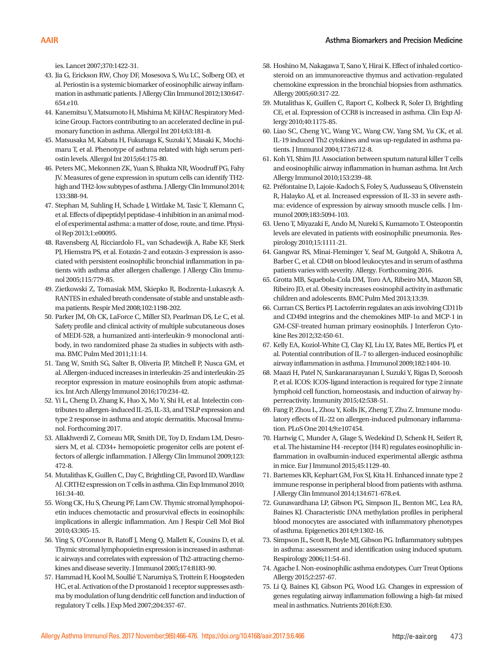## **Asthma Biomarkers and Precision Medicine**

**AAIR**

ies. Lancet 2007;370:1422-31.

- 43. Jia G, Erickson RW, Choy DF, Mosesova S, Wu LC, Solberg OD, et al. Periostin is a systemic biomarker of eosinophilic airway inflammation in asthmatic patients. J Allergy Clin Immunol 2012;130:647- 654.e10.
- 44. Kanemitsu Y, Matsumoto H, Mishima M; KiHAC Respiratory Medicine Group. Factors contributing to an accelerated decline in pulmonary function in asthma. Allergol Int 2014;63:181-8.
- 45. Matsusaka M, Kabata H, Fukunaga K, Suzuki Y, Masaki K, Mochimaru T, et al. Phenotype of asthma related with high serum periostin levels. Allergol Int 2015;64:175-80.
- 46. Peters MC, Mekonnen ZK, Yuan S, Bhakta NR, Woodruff PG, Fahy JV. Measures of gene expression in sputum cells can identify TH2 high and TH2-low subtypes of asthma. J Allergy Clin Immunol 2014; 133:388-94.
- 47. Stephan M, Suhling H, Schade J, Wittlake M, Tasic T, Klemann C, et al. Effects of dipeptidyl peptidase-4 inhibition in an animal model of experimental asthma: a matter of dose, route, and time. Physiol Rep 2013;1:e00095.
- 48. Ravensberg AJ, Ricciardolo FL, van Schadewijk A, Rabe KF, Sterk PJ, Hiemstra PS, et al. Eotaxin-2 and eotaxin-3 expression is associated with persistent eosinophilic bronchial inflammation in patients with asthma after allergen challenge. J Allergy Clin Immunol 2005;115:779-85.
- 49. Zietkowski Z, Tomasiak MM, Skiepko R, Bodzenta-Lukaszyk A. RANTES in exhaled breath condensate of stable and unstable asthma patients. Respir Med 2008;102:1198-202.
- 50. Parker JM, Oh CK, LaForce C, Miller SD, Pearlman DS, Le C, et al. Safety profile and clinical activity of multiple subcutaneous doses of MEDI-528, a humanized anti-interleukin-9 monoclonal antibody, in two randomized phase 2a studies in subjects with asthma. BMC Pulm Med 2011;11:14.
- 51. Tang W, Smith SG, Salter B, Oliveria JP, Mitchell P, Nusca GM, et al. Allergen-induced increases in interleukin-25 and interleukin-25 receptor expression in mature eosinophils from atopic asthmatics. Int Arch Allergy Immunol 2016;170:234-42.
- 52. Yi L, Cheng D, Zhang K, Huo X, Mo Y, Shi H, et al. Intelectin contributes to allergen-induced IL-25, IL-33, and TSLP expression and type 2 response in asthma and atopic dermatitis. Mucosal Immunol. Forthcoming 2017.
- 53. Allakhverdi Z, Comeau MR, Smith DE, Toy D, Endam LM, Desrosiers M, et al. CD34+ hemopoietic progenitor cells are potent effectors of allergic inflammation. J Allergy Clin Immunol 2009;123: 472-8.
- 54. Mutalithas K, Guillen C, Day C, Brightling CE, Pavord ID, Wardlaw AJ. CRTH2 expression on T cells in asthma. Clin Exp Immunol 2010; 161:34-40.
- 55. Wong CK, Hu S, Cheung PF, Lam CW. Thymic stromal lymphopoietin induces chemotactic and prosurvival effects in eosinophils: implications in allergic inflammation. Am J Respir Cell Mol Biol 2010;43:305-15.
- 56. Ying S, O'Connor B, Ratoff J, Meng Q, Mallett K, Cousins D, et al. Thymic stromal lymphopoietin expression is increased in asthmatic airways and correlates with expression of Th2-attracting chemokines and disease severity. J Immunol 2005;174:8183-90.
- 57. Hammad H, Kool M, Soullié T, Narumiya S, Trottein F, Hoogsteden HC, et al. Activation of the D prostanoid 1 receptor suppresses asthma by modulation of lung dendritic cell function and induction of regulatory T cells. J Exp Med 2007;204:357-67.
- 58. Hoshino M, Nakagawa T, Sano Y, Hirai K. Effect of inhaled corticosteroid on an immunoreactive thymus and activation-regulated chemokine expression in the bronchial biopsies from asthmatics. Allergy 2005;60:317-22.
- 59. Mutalithas K, Guillen C, Raport C, Kolbeck R, Soler D, Brightling CE, et al. Expression of CCR8 is increased in asthma. Clin Exp Allergy 2010;40:1175-85.
- 60. Liao SC, Cheng YC, Wang YC, Wang CW, Yang SM, Yu CK, et al. IL-19 induced Th2 cytokines and was up-regulated in asthma patients. J Immunol 2004;173:6712-8.
- 61. Koh YI, Shim JU. Association between sputum natural killer T cells and eosinophilic airway inflammation in human asthma. Int Arch Allergy Immunol 2010;153:239-48.
- 62. Préfontaine D, Lajoie-Kadoch S, Foley S, Audusseau S, Olivenstein R, Halayko AJ, et al. Increased expression of IL-33 in severe asthma: evidence of expression by airway smooth muscle cells. J Immunol 2009;183:5094-103.
- 63. Ueno T, Miyazaki E, Ando M, Nureki S, Kumamoto T. Osteopontin levels are elevated in patients with eosinophilic pneumonia. Respirology 2010;15:1111-21.
- 64. Gangwar RS, Minai-Fleminger Y, Seaf M, Gutgold A, Shikotra A, Barber C, et al. CD48 on blood leukocytes and in serum of asthma patients varies with severity. Allergy. Forthcoming 2016.
- 65. Grotta MB, Squebola-Cola DM, Toro AA, Ribeiro MA, Mazon SB, Ribeiro JD, et al. Obesity increases eosinophil activity in asthmatic children and adolescents. BMC Pulm Med 2013;13:39.
- 66. Curran CS, Bertics PJ. Lactoferrin regulates an axis involving CD11b and CD49d integrins and the chemokines MIP-1 $\alpha$  and MCP-1 in GM-CSF-treated human primary eosinophils. J Interferon Cytokine Res 2012;32:450-61.
- 67. Kelly EA, Koziol-White CJ, Clay KJ, Liu LY, Bates ME, Bertics PJ, et al. Potential contribution of IL-7 to allergen-induced eosinophilic airway inflammation in asthma. J Immunol 2009;182:1404-10.
- 68. Maazi H, Patel N, Sankaranarayanan I, Suzuki Y, Rigas D, Soroosh P, et al. ICOS: ICOS-ligand interaction is required for type 2 innate lymphoid cell function, homeostasis, and induction of airway hyperreactivity. Immunity 2015;42:538-51.
- 69. Fang P, Zhou L, Zhou Y, Kolls JK, Zheng T, Zhu Z. Immune modulatory effects of IL-22 on allergen-induced pulmonary inflammation. PLoS One 2014;9:e107454.
- 70. Hartwig C, Munder A, Glage S, Wedekind D, Schenk H, Seifert R, et al. The histamine H4 -receptor (H4 R) regulates eosinophilic inflammation in ovalbumin-induced experimental allergic asthma in mice. Eur J Immunol 2015;45:1129-40.
- 71. Bartemes KR, Kephart GM, Fox SJ, Kita H. Enhanced innate type 2 immune response in peripheral blood from patients with asthma. J Allergy Clin Immunol 2014;134:671-678.e4.
- 72. Gunawardhana LP, Gibson PG, Simpson JL, Benton MC, Lea RA, Baines KJ. Characteristic DNA methylation profiles in peripheral blood monocytes are associated with inflammatory phenotypes of asthma. Epigenetics 2014;9:1302-16.
- 73. Simpson JL, Scott R, Boyle MJ, Gibson PG. Inflammatory subtypes in asthma: assessment and identification using induced sputum. Respirology 2006;11:54-61.
- 74. Agache I. Non-eosinophilic asthma endotypes. Curr Treat Options Allergy 2015;2:257-67.
- 75. Li Q, Baines KJ, Gibson PG, Wood LG. Changes in expression of genes regulating airway inflammation following a high-fat mixed meal in asthmatics. Nutrients 2016;8:E30.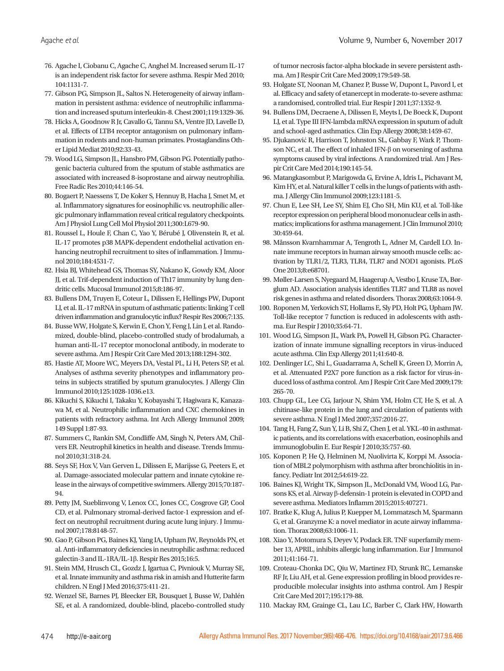- 76. Agache I, Ciobanu C, Agache C, Anghel M. Increased serum IL-17 is an independent risk factor for severe asthma. Respir Med 2010; 104:1131-7.
- 77. Gibson PG, Simpson JL, Saltos N. Heterogeneity of airway inflammation in persistent asthma: evidence of neutrophilic inflammation and increased sputum interleukin-8. Chest 2001;119:1329-36.
- 78. Hicks A, Goodnow R Jr, Cavallo G, Tannu SA, Ventre JD, Lavelle D, et al. Effects of LTB4 receptor antagonism on pulmonary inflammation in rodents and non-human primates. Prostaglandins Other Lipid Mediat 2010;92:33-43.
- 79. Wood LG, Simpson JL, Hansbro PM, Gibson PG. Potentially pathogenic bacteria cultured from the sputum of stable asthmatics are associated with increased 8-isoprostane and airway neutrophilia. Free Radic Res 2010;44:146-54.
- 80. Bogaert P, Naessens T, De Koker S, Hennuy B, Hacha J, Smet M, et al. Inflammatory signatures for eosinophilic vs. neutrophilic allergic pulmonary inflammation reveal critical regulatory checkpoints. Am J Physiol Lung Cell Mol Physiol 2011;300:L679-90.
- 81. Roussel L, Houle F, Chan C, Yao Y, Bérubé J, Olivenstein R, et al. IL-17 promotes p38 MAPK-dependent endothelial activation enhancing neutrophil recruitment to sites of inflammation. J Immunol 2010;184:4531-7.
- 82. Hsia BJ, Whitehead GS, Thomas SY, Nakano K, Gowdy KM, Aloor JJ, et al. Trif-dependent induction of Th17 immunity by lung dendritic cells. Mucosal Immunol 2015;8:186-97.
- 83. Bullens DM, Truyen E, Coteur L, Dilissen E, Hellings PW, Dupont LJ, et al. IL-17 mRNA in sputum of asthmatic patients: linking T cell driven inflammation and granulocytic influx? Respir Res 2006;7:135.
- 84. Busse WW, Holgate S, Kerwin E, Chon Y, Feng J, Lin J, et al. Randomized, double-blind, placebo-controlled study of brodalumab, a human anti-IL-17 receptor monoclonal antibody, in moderate to severe asthma. Am J Respir Crit Care Med 2013;188:1294-302.
- 85. Hastie AT, Moore WC, Meyers DA, Vestal PL, Li H, Peters SP, et al. Analyses of asthma severity phenotypes and inflammatory proteins in subjects stratified by sputum granulocytes. J Allergy Clin Immunol 2010;125:1028-1036.e13.
- 86. Kikuchi S, Kikuchi I, Takaku Y, Kobayashi T, Hagiwara K, Kanazawa M, et al. Neutrophilic inflammation and CXC chemokines in patients with refractory asthma. Int Arch Allergy Immunol 2009; 149 Suppl 1:87-93.
- 87. Summers C, Rankin SM, Condliffe AM, Singh N, Peters AM, Chilvers ER. Neutrophil kinetics in health and disease. Trends Immunol 2010;31:318-24.
- 88. Seys SF, Hox V, Van Gerven L, Dilissen E, Marijsse G, Peeters E, et al. Damage-associated molecular pattern and innate cytokine release in the airways of competitive swimmers. Allergy 2015;70:187- 94.
- 89. Petty JM, Sueblinvong V, Lenox CC, Jones CC, Cosgrove GP, Cool CD, et al. Pulmonary stromal-derived factor-1 expression and effect on neutrophil recruitment during acute lung injury. J Immunol 2007;178:8148-57.
- 90. Gao P, Gibson PG, Baines KJ, Yang IA, Upham JW, Reynolds PN, et al. Anti-inflammatory deficiencies in neutrophilic asthma: reduced galectin-3 and IL-1RA/IL-1β. Respir Res 2015;16:5.
- 91. Stein MM, Hrusch CL, Gozdz J, Igartua C, Pivniouk V, Murray SE, et al. Innate immunity and asthma risk in amish and Hutterite farm children. N Engl J Med 2016;375:411-21.
- 92. Wenzel SE, Barnes PJ, Bleecker ER, Bousquet J, Busse W, Dahlén SE, et al. A randomized, double-blind, placebo-controlled study

of tumor necrosis factor-alpha blockade in severe persistent asthma. Am J Respir Crit Care Med 2009;179:549-58.

- 93. Holgate ST, Noonan M, Chanez P, Busse W, Dupont L, Pavord I, et al. Efficacy and safety of etanercept in moderate-to-severe asthma: a randomised, controlled trial. Eur Respir J 2011;37:1352-9.
- 94. Bullens DM, Decraene A, Dilissen E, Meyts I, De Boeck K, Dupont LJ, et al. Type III IFN-lambda mRNA expression in sputum of adult and school-aged asthmatics. Clin Exp Allergy 2008;38:1459-67.
- 95. Djukanović R, Harrison T, Johnston SL, Gabbay F, Wark P, Thomson NC, et al. The effect of inhaled IFN-β on worsening of asthma symptoms caused by viral infections. A randomized trial. Am J Respir Crit Care Med 2014;190:145-54.
- 96. Matangkasombut P, Marigowda G, Ervine A, Idris L, Pichavant M, Kim HY, et al. Natural killer T cells in the lungs of patients with asthma. J Allergy Clin Immunol 2009;123:1181-5.
- 97. Chun E, Lee SH, Lee SY, Shim EJ, Cho SH, Min KU, et al. Toll-like receptor expression on peripheral blood mononuclear cells in asthmatics; implications for asthma management. J Clin Immunol 2010; 30:459-64.
- 98. Månsson Kvarnhammar A, Tengroth L, Adner M, Cardell LO. Innate immune receptors in human airway smooth muscle cells: activation by TLR1/2, TLR3, TLR4, TLR7 and NOD1 agonists. PLoS One 2013;8:e68701.
- 99. Møller-Larsen S, Nyegaard M, Haagerup A, Vestbo J, Kruse TA, Børglum AD. Association analysis identifies TLR7 and TLR8 as novel risk genes in asthma and related disorders. Thorax 2008;63:1064-9.
- 100. Roponen M, Yerkovich ST, Hollams E, Sly PD, Holt PG, Upham JW. Toll-like receptor 7 function is reduced in adolescents with asthma. Eur Respir J 2010;35:64-71.
- 101. Wood LG, Simpson JL, Wark PA, Powell H, Gibson PG. Characterization of innate immune signalling receptors in virus-induced acute asthma. Clin Exp Allergy 2011;41:640-8.
- 102. Denlinger LC, Shi L, Guadarrama A, Schell K, Green D, Morrin A, et al. Attenuated P2X7 pore function as a risk factor for virus-induced loss of asthma control. Am J Respir Crit Care Med 2009;179: 265-70.
- 103. Chupp GL, Lee CG, Jarjour N, Shim YM, Holm CT, He S, et al. A chitinase-like protein in the lung and circulation of patients with severe asthma. N Engl J Med 2007;357:2016-27.
- 104. Tang H, Fang Z, Sun Y, Li B, Shi Z, Chen J, et al. YKL-40 in asthmatic patients, and its correlations with exacerbation, eosinophils and immunoglobulin E. Eur Respir J 2010;35:757-60.
- 105. Koponen P, He Q, Helminen M, Nuolivirta K, Korppi M. Association of MBL2 polymorphism with asthma after bronchiolitis in infancy. Pediatr Int 2012;54:619-22.
- 106. Baines KJ, Wright TK, Simpson JL, McDonald VM, Wood LG, Parsons KS, et al. Airway β-defensin-1 protein is elevated in COPD and severe asthma. Mediators Inflamm 2015;2015:407271.
- 107. Bratke K, Klug A, Julius P, Kuepper M, Lommatzsch M, Sparmann G, et al. Granzyme K: a novel mediator in acute airway inflammation. Thorax 2008;63:1006-11.
- 108. Xiao Y, Motomura S, Deyev V, Podack ER. TNF superfamily member 13, APRIL, inhibits allergic lung inflammation. Eur J Immunol 2011;41:164-71.
- 109. Croteau-Chonka DC, Qiu W, Martinez FD, Strunk RC, Lemanske RF Jr, Liu AH, et al. Gene expression profiling in blood provides reproducible molecular insights into asthma control. Am J Respir Crit Care Med 2017;195:179-88.
- 110. Mackay RM, Grainge CL, Lau LC, Barber C, Clark HW, Howarth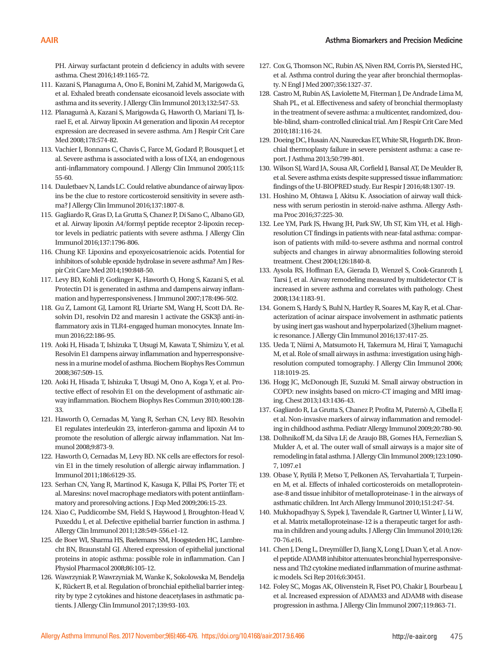PH. Airway surfactant protein d deficiency in adults with severe asthma. Chest 2016;149:1165-72.

- 111. Kazani S, Planaguma A, Ono E, Bonini M, Zahid M, Marigowda G, et al. Exhaled breath condensate eicosanoid levels associate with asthma and its severity. J Allergy Clin Immunol 2013;132:547-53.
- 112. Planagumà A, Kazani S, Marigowda G, Haworth O, Mariani TJ, Israel E, et al. Airway lipoxin A4 generation and lipoxin A4 receptor expression are decreased in severe asthma. Am J Respir Crit Care Med 2008;178:574-82.
- 113. Vachier I, Bonnans C, Chavis C, Farce M, Godard P, Bousquet J, et al. Severe asthma is associated with a loss of LX4, an endogenous anti-inflammatory compound. J Allergy Clin Immunol 2005;115: 55-60.
- 114. Dauletbaev N, Lands LC. Could relative abundance of airway lipoxins be the clue to restore corticosteroid sensitivity in severe asthma? J Allergy Clin Immunol 2016;137:1807-8.
- 115. Gagliardo R, Gras D, La Grutta S, Chanez P, Di Sano C, Albano GD, et al. Airway lipoxin A4/formyl peptide receptor 2-lipoxin receptor levels in pediatric patients with severe asthma. J Allergy Clin Immunol 2016;137:1796-806.
- 116. Chung KF. Lipoxins and epoxyeicosatrienoic acids. Potential for inhibitors of soluble epoxide hydrolase in severe asthma? Am J Respir Crit Care Med 2014;190:848-50.
- 117. Levy BD, Kohli P, Gotlinger K, Haworth O, Hong S, Kazani S, et al. Protectin D1 is generated in asthma and dampens airway inflammation and hyperresponsiveness. J Immunol 2007;178:496-502.
- 118. Gu Z, Lamont GJ, Lamont RJ, Uriarte SM, Wang H, Scott DA. Resolvin D1, resolvin D2 and maresin 1 activate the GSK3β anti-inflammatory axis in TLR4-engaged human monocytes. Innate Immun 2016;22:186-95.
- 119. Aoki H, Hisada T, Ishizuka T, Utsugi M, Kawata T, Shimizu Y, et al. Resolvin E1 dampens airway inflammation and hyperresponsiveness in a murine model of asthma. Biochem Biophys Res Commun 2008;367:509-15.
- 120. Aoki H, Hisada T, Ishizuka T, Utsugi M, Ono A, Koga Y, et al. Protective effect of resolvin E1 on the development of asthmatic airway inflammation. Biochem Biophys Res Commun 2010;400:128- 33.
- 121. Haworth O, Cernadas M, Yang R, Serhan CN, Levy BD. Resolvin E1 regulates interleukin 23, interferon-gamma and lipoxin A4 to promote the resolution of allergic airway inflammation. Nat Immunol 2008;9:873-9.
- 122. Haworth O, Cernadas M, Levy BD. NK cells are effectors for resolvin E1 in the timely resolution of allergic airway inflammation. J Immunol 2011;186:6129-35.
- 123. Serhan CN, Yang R, Martinod K, Kasuga K, Pillai PS, Porter TF, et al. Maresins: novel macrophage mediators with potent antiinflammatory and proresolving actions. J Exp Med 2009;206:15-23.
- 124. Xiao C, Puddicombe SM, Field S, Haywood J, Broughton-Head V, Puxeddu I, et al. Defective epithelial barrier function in asthma. J Allergy Clin Immunol 2011;128:549-556.e1-12.
- 125. de Boer WI, Sharma HS, Baelemans SM, Hoogsteden HC, Lambrecht BN, Braunstahl GJ. Altered expression of epithelial junctional proteins in atopic asthma: possible role in inflammation. Can J Physiol Pharmacol 2008;86:105-12.
- 126. Wawrzyniak P, Wawrzyniak M, Wanke K, Sokolowska M, Bendelja K, Rückert B, et al. Regulation of bronchial epithelial barrier integrity by type 2 cytokines and histone deacetylases in asthmatic patients. J Allergy Clin Immunol 2017;139:93-103.
- 127. Cox G, Thomson NC, Rubin AS, Niven RM, Corris PA, Siersted HC, et al. Asthma control during the year after bronchial thermoplasty. N Engl J Med 2007;356:1327-37.
- 128. Castro M, Rubin AS, Laviolette M, Fiterman J, De Andrade Lima M, Shah PL, et al. Effectiveness and safety of bronchial thermoplasty in the treatment of severe asthma: a multicenter, randomized, double-blind, sham-controlled clinical trial. Am J Respir Crit Care Med 2010;181:116-24.
- 129. Doeing DC, Husain AN, Naureckas ET, White SR, Hogarth DK. Bronchial thermoplasty failure in severe persistent asthma: a case report. J Asthma 2013;50:799-801.
- 130. Wilson SJ, Ward JA, Sousa AR, Corfield J, Bansal AT, De Meulder B, et al. Severe asthma exists despite suppressed tissue inflammation: findings of the U-BIOPRED study. Eur Respir J 2016;48:1307-19.
- 131. Hoshino M, Ohtawa J, Akitsu K. Association of airway wall thickness with serum periostin in steroid-naive asthma. Allergy Asthma Proc 2016;37:225-30.
- 132. Lee YM, Park JS, Hwang JH, Park SW, Uh ST, Kim YH, et al. Highresolution CT findings in patients with near-fatal asthma: comparison of patients with mild-to-severe asthma and normal control subjects and changes in airway abnormalities following steroid treatment. Chest 2004;126:1840-8.
- 133. Aysola RS, Hoffman EA, Gierada D, Wenzel S, Cook-Granroth J, Tarsi J, et al. Airway remodeling measured by multidetector CT is increased in severe asthma and correlates with pathology. Chest 2008;134:1183-91.
- 134. Gonem S, Hardy S, Buhl N, Hartley R, Soares M, Kay R, et al. Characterization of acinar airspace involvement in asthmatic patients by using inert gas washout and hyperpolarized (3)helium magnetic resonance. J Allergy Clin Immunol 2016;137:417-25.
- 135. Ueda T, Niimi A, Matsumoto H, Takemura M, Hirai T, Yamaguchi M, et al. Role of small airways in asthma: investigation using highresolution computed tomography. J Allergy Clin Immunol 2006; 118:1019-25.
- 136. Hogg JC, McDonough JE, Suzuki M. Small airway obstruction in COPD: new insights based on micro-CT imaging and MRI imaging. Chest 2013;143:1436-43.
- 137. Gagliardo R, La Grutta S, Chanez P, Profita M, Paternò A, Cibella F, et al. Non-invasive markers of airway inflammation and remodeling in childhood asthma. Pediatr Allergy Immunol 2009;20:780-90.
- 138. Dolhnikoff M, da Silva LF, de Araujo BB, Gomes HA, Fernezlian S, Mulder A, et al. The outer wall of small airways is a major site of remodeling in fatal asthma. J Allergy Clin Immunol 2009;123:1090- 7, 1097.e1
- 139. Obase Y, Rytilä P, Metso T, Pelkonen AS, Tervahartiala T, Turpeinen M, et al. Effects of inhaled corticosteroids on metalloproteinase-8 and tissue inhibitor of metalloproteinase-1 in the airways of asthmatic children. Int Arch Allergy Immunol 2010;151:247-54.
- 140. Mukhopadhyay S, Sypek J, Tavendale R, Gartner U, Winter J, Li W, et al. Matrix metalloproteinase-12 is a therapeutic target for asthma in children and young adults. J Allergy Clin Immunol 2010;126: 70-76.e16.
- 141. Chen J, Deng L, Dreymüller D, Jiang X, Long J, Duan Y, et al. A novel peptide ADAM8 inhibitor attenuates bronchial hyperresponsiveness and Th2 cytokine mediated inflammation of murine asthmatic models. Sci Rep 2016;6:30451.
- 142. Foley SC, Mogas AK, Olivenstein R, Fiset PO, Chakir J, Bourbeau J, et al. Increased expression of ADAM33 and ADAM8 with disease progression in asthma. J Allergy Clin Immunol 2007;119:863-71.